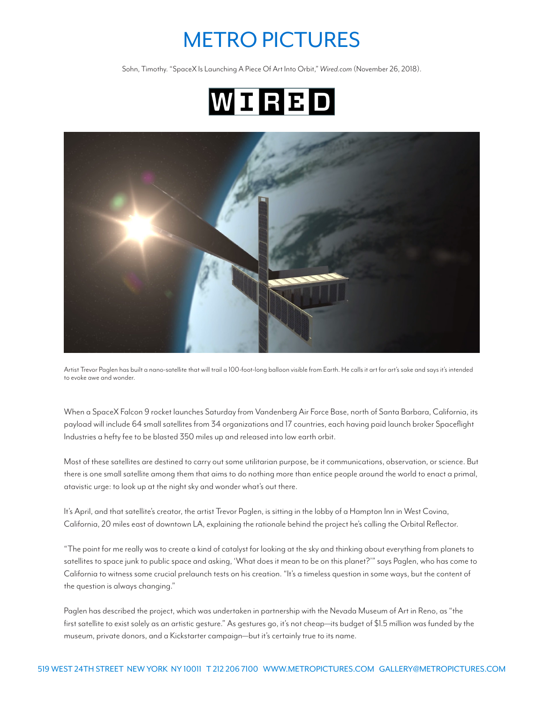## METRO PICTURES

Sohn, Timothy. "SpaceX Is Launching A Piece Of Art Into Orbit," *Wired.com* (November 26, 2018).





Artist Trevor Paglen has built a nano-satellite that will trail a 100-foot-long balloon visible from Earth. He calls it art for art's sake and says it's intended to evoke awe and wonder.

When a SpaceX Falcon 9 rocket launches Saturday from Vandenberg Air Force Base, north of Santa Barbara, California, its payload will include 64 small satellites from 34 organizations and 17 countries, each having paid launch broker Spaceflight Industries a hefty fee to be blasted 350 miles up and released into low earth orbit.

Most of these satellites are destined to carry out some utilitarian purpose, be it communications, observation, or science. But there is one small satellite among them that aims to do nothing more than entice people around the world to enact a primal, atavistic urge: to look up at the night sky and wonder what's out there.

It's April, and that satellite's creator, the artist Trevor Paglen, is sitting in the lobby of a Hampton Inn in West Covina, California, 20 miles east of downtown LA, explaining the rationale behind the project he's calling the Orbital Reflector.

"The point for me really was to create a kind of catalyst for looking at the sky and thinking about everything from planets to satellites to space junk to public space and asking, 'What does it mean to be on this planet?'" says Paglen, who has come to California to witness some crucial prelaunch tests on his creation. "It's a timeless question in some ways, but the content of the question is always changing."

Paglen has described the project, which was undertaken in partnership with the Nevada Museum of Art in Reno, as "the first satellite to exist solely as an artistic gesture." As gestures go, it's not cheap—its budget of \$1.5 million was funded by the museum, private donors, and a Kickstarter campaign—but it's certainly true to its name.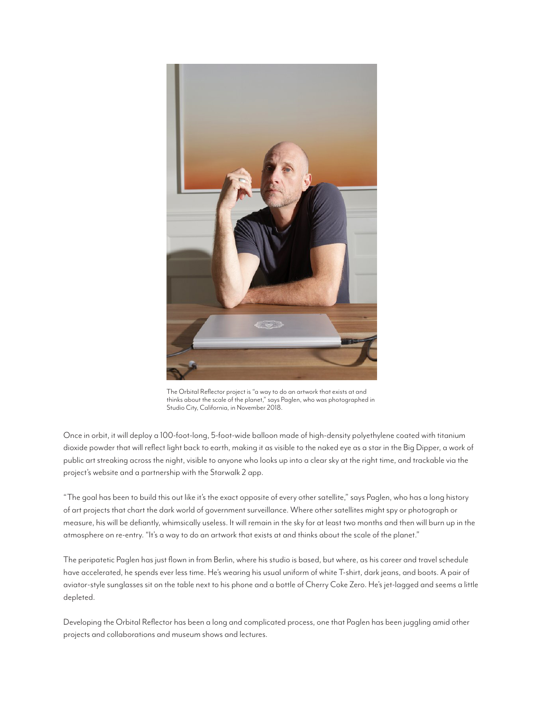

The Orbital Reflector project is "a way to do an artwork that exists at and thinks about the scale of the planet," says Paglen, who was photographed in Studio City, California, in November 2018.

Once in orbit, it will deploy a 100-foot-long, 5-foot-wide balloon made of high-density polyethylene coated with titanium dioxide powder that will reflect light back to earth, making it as visible to the naked eye as a star in the Big Dipper, a work of public art streaking across the night, visible to anyone who looks up into a clear sky at the right time, and trackable via the project's website and a partnership with the Starwalk 2 app.

"The goal has been to build this out like it's the exact opposite of every other satellite," says Paglen, who has a long history of art projects that chart the dark world of government surveillance. Where other satellites might spy or photograph or measure, his will be defiantly, whimsically useless. It will remain in the sky for at least two months and then will burn up in the atmosphere on re-entry. "It's a way to do an artwork that exists at and thinks about the scale of the planet."

The peripatetic Paglen has just flown in from Berlin, where his studio is based, but where, as his career and travel schedule have accelerated, he spends ever less time. He's wearing his usual uniform of white T-shirt, dark jeans, and boots. A pair of aviator-style sunglasses sit on the table next to his phone and a bottle of Cherry Coke Zero. He's jet-lagged and seems a little depleted.

Developing the Orbital Reflector has been a long and complicated process, one that Paglen has been juggling amid other projects and collaborations and museum shows and lectures.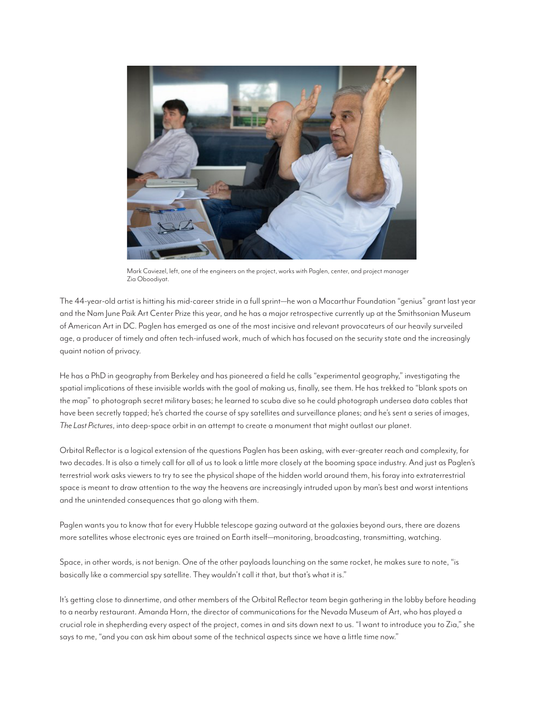

Mark Caviezel, left, one of the engineers on the project, works with Paglen, center, and project manager Zia Oboodiyat.

The 44-year-old artist is hitting his mid-career stride in a full sprint—he won a Macarthur Foundation "genius" grant last year and the Nam June Paik Art Center Prize this year, and he has a major retrospective currently up at the Smithsonian Museum of American Art in DC. Paglen has emerged as one of the most incisive and relevant provocateurs of our heavily surveiled age, a producer of timely and often tech-infused work, much of which has focused on the security state and the increasingly quaint notion of privacy.

He has a PhD in geography from Berkeley and has pioneered a field he calls "experimental geography," investigating the spatial implications of these invisible worlds with the goal of making us, finally, see them. He has trekked to "blank spots on the map" to photograph secret military bases; he learned to scuba dive so he could photograph undersea data cables that have been secretly tapped; he's charted the course of spy satellites and surveillance planes; and he's sent a series of images, *The Last Pictures*, into deep-space orbit in an attempt to create a monument that might outlast our planet.

Orbital Reflector is a logical extension of the questions Paglen has been asking, with ever-greater reach and complexity, for two decades. It is also a timely call for all of us to look a little more closely at the booming space industry. And just as Paglen's terrestrial work asks viewers to try to see the physical shape of the hidden world around them, his foray into extraterrestrial space is meant to draw attention to the way the heavens are increasingly intruded upon by man's best and worst intentions and the unintended consequences that go along with them.

Paglen wants you to know that for every Hubble telescope gazing outward at the galaxies beyond ours, there are dozens more satellites whose electronic eyes are trained on Earth itself—monitoring, broadcasting, transmitting, watching.

Space, in other words, is not benign. One of the other payloads launching on the same rocket, he makes sure to note, "is basically like a commercial spy satellite. They wouldn't call it that, but that's what it is."

It's getting close to dinnertime, and other members of the Orbital Reflector team begin gathering in the lobby before heading to a nearby restaurant. Amanda Horn, the director of communications for the Nevada Museum of Art, who has played a crucial role in shepherding every aspect of the project, comes in and sits down next to us. "I want to introduce you to Zia," she says to me, "and you can ask him about some of the technical aspects since we have a little time now."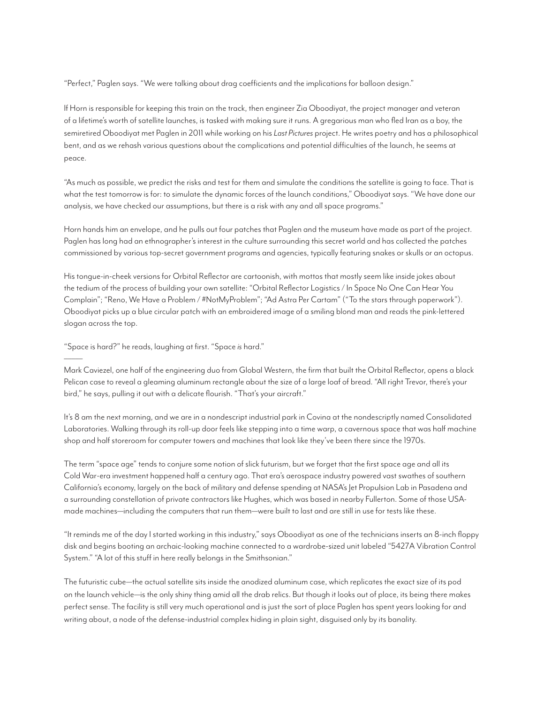"Perfect," Paglen says. "We were talking about drag coefficients and the implications for balloon design."

If Horn is responsible for keeping this train on the track, then engineer Zia Oboodiyat, the project manager and veteran of a lifetime's worth of satellite launches, is tasked with making sure it runs. A gregarious man who fled Iran as a boy, the semiretired Oboodiyat met Paglen in 2011 while working on his *Last Pictures* project. He writes poetry and has a philosophical bent, and as we rehash various questions about the complications and potential difficulties of the launch, he seems at peace.

"As much as possible, we predict the risks and test for them and simulate the conditions the satellite is going to face. That is what the test tomorrow is for: to simulate the dynamic forces of the launch conditions," Oboodiyat says. "We have done our analysis, we have checked our assumptions, but there is a risk with any and all space programs."

Horn hands him an envelope, and he pulls out four patches that Paglen and the museum have made as part of the project. Paglen has long had an ethnographer's interest in the culture surrounding this secret world and has collected the patches commissioned by various top-secret government programs and agencies, typically featuring snakes or skulls or an octopus.

His tongue-in-cheek versions for Orbital Reflector are cartoonish, with mottos that mostly seem like inside jokes about the tedium of the process of building your own satellite: "Orbital Reflector Logistics / In Space No One Can Hear You Complain"; "Reno, We Have a Problem / #NotMyProblem"; "Ad Astra Per Cartam" ("To the stars through paperwork"). Oboodiyat picks up a blue circular patch with an embroidered image of a smiling blond man and reads the pink-lettered slogan across the top.

"Space is hard?" he reads, laughing at first. "Space *is* hard."

–––––

Mark Caviezel, one half of the engineering duo from Global Western, the firm that built the Orbital Reflector, opens a black Pelican case to reveal a gleaming aluminum rectangle about the size of a large loaf of bread. "All right Trevor, there's your bird," he says, pulling it out with a delicate flourish. "That's your aircraft."

It's 8 am the next morning, and we are in a nondescript industrial park in Covina at the nondescriptly named Consolidated Laboratories. Walking through its roll-up door feels like stepping into a time warp, a cavernous space that was half machine shop and half storeroom for computer towers and machines that look like they've been there since the 1970s.

The term "space age" tends to conjure some notion of slick futurism, but we forget that the first space age and all its Cold War-era investment happened half a century ago. That era's aerospace industry powered vast swathes of southern California's economy, largely on the back of military and defense spending at NASA's Jet Propulsion Lab in Pasadena and a surrounding constellation of private contractors like Hughes, which was based in nearby Fullerton. Some of those USAmade machines—including the computers that run them—were built to last and are still in use for tests like these.

"It reminds me of the day I started working in this industry," says Oboodiyat as one of the technicians inserts an 8-inch floppy disk and begins booting an archaic-looking machine connected to a wardrobe-sized unit labeled "5427A Vibration Control System." "A lot of this stuff in here really belongs in the Smithsonian."

The futuristic cube—the actual satellite sits inside the anodized aluminum case, which replicates the exact size of its pod on the launch vehicle—is the only shiny thing amid all the drab relics. But though it looks out of place, its being there makes perfect sense. The facility is still very much operational and is just the sort of place Paglen has spent years looking for and writing about, a node of the defense-industrial complex hiding in plain sight, disguised only by its banality.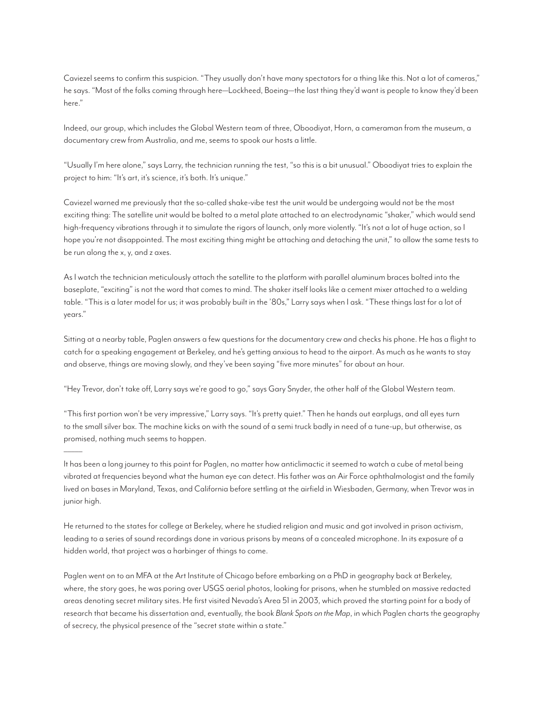Caviezel seems to confirm this suspicion. "They usually don't have many spectators for a thing like this. Not a lot of cameras," he says. "Most of the folks coming through here—Lockheed, Boeing—the last thing they'd want is people to know they'd been here."

Indeed, our group, which includes the Global Western team of three, Oboodiyat, Horn, a cameraman from the museum, a documentary crew from Australia, and me, seems to spook our hosts a little.

"Usually I'm here alone," says Larry, the technician running the test, "so this is a bit unusual." Oboodiyat tries to explain the project to him: "It's art, it's science, it's both. It's unique."

Caviezel warned me previously that the so-called shake-vibe test the unit would be undergoing would not be the most exciting thing: The satellite unit would be bolted to a metal plate attached to an electrodynamic "shaker," which would send high-frequency vibrations through it to simulate the rigors of launch, only more violently. "It's not a lot of huge action, so I hope you're not disappointed. The most exciting thing might be attaching and detaching the unit," to allow the same tests to be run along the x, y, and z axes.

As I watch the technician meticulously attach the satellite to the platform with parallel aluminum braces bolted into the baseplate, "exciting" is not the word that comes to mind. The shaker itself looks like a cement mixer attached to a welding table. "This is a later model for us; it was probably built in the '80s," Larry says when I ask. "These things last for a lot of years."

Sitting at a nearby table, Paglen answers a few questions for the documentary crew and checks his phone. He has a flight to catch for a speaking engagement at Berkeley, and he's getting anxious to head to the airport. As much as he wants to stay and observe, things are moving slowly, and they've been saying "five more minutes" for about an hour.

"Hey Trevor, don't take off, Larry says we're good to go," says Gary Snyder, the other half of the Global Western team.

"This first portion won't be very impressive," Larry says. "It's pretty quiet." Then he hands out earplugs, and all eyes turn to the small silver box. The machine kicks on with the sound of a semi truck badly in need of a tune-up, but otherwise, as promised, nothing much seems to happen.

–––––

It has been a long journey to this point for Paglen, no matter how anticlimactic it seemed to watch a cube of metal being vibrated at frequencies beyond what the human eye can detect. His father was an Air Force ophthalmologist and the family lived on bases in Maryland, Texas, and California before settling at the airfield in Wiesbaden, Germany, when Trevor was in junior high.

He returned to the states for college at Berkeley, where he studied religion and music and got involved in prison activism, leading to a series of sound recordings done in various prisons by means of a concealed microphone. In its exposure of a hidden world, that project was a harbinger of things to come.

Paglen went on to an MFA at the Art Institute of Chicago before embarking on a PhD in geography back at Berkeley, where, the story goes, he was poring over USGS aerial photos, looking for prisons, when he stumbled on massive redacted areas denoting secret military sites. He first visited Nevada's Area 51 in 2003, which proved the starting point for a body of research that became his dissertation and, eventually, the book *Blank Spots on the Map*, in which Paglen charts the geography of secrecy, the physical presence of the "secret state within a state."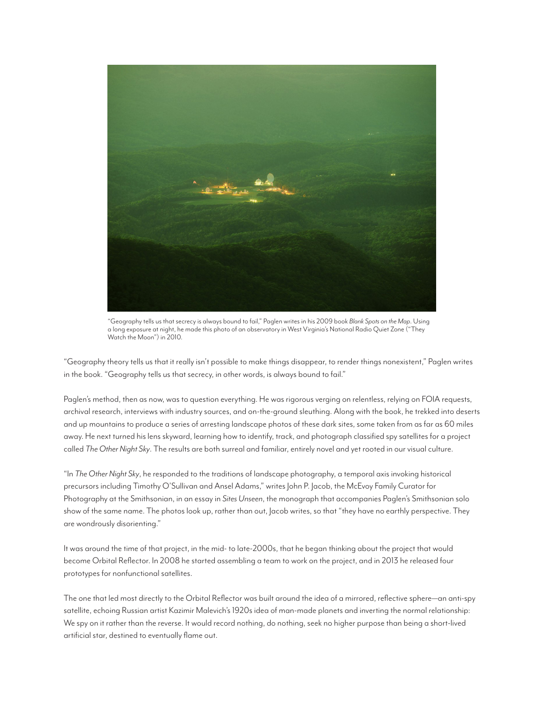

"Geography tells us that secrecy is always bound to fail," Paglen writes in his 2009 book *Blank Spots on the Map*. Using a long exposure at night, he made this photo of an observatory in West Virginia's National Radio Quiet Zone ("They Watch the Moon") in 2010.

"Geography theory tells us that it really isn't possible to make things disappear, to render things nonexistent," Paglen writes in the book. "Geography tells us that secrecy, in other words, is always bound to fail."

Paglen's method, then as now, was to question everything. He was rigorous verging on relentless, relying on FOIA requests, archival research, interviews with industry sources, and on-the-ground sleuthing. Along with the book, he trekked into deserts and up mountains to produce a series of arresting landscape photos of these dark sites, some taken from as far as 60 miles away. He next turned his lens skyward, learning how to identify, track, and photograph classified spy satellites for a project called *The Other Night Sky*. The results are both surreal and familiar, entirely novel and yet rooted in our visual culture.

"In *The Other Night Sky*, he responded to the traditions of landscape photography, a temporal axis invoking historical precursors including Timothy O'Sullivan and Ansel Adams," writes John P. Jacob, the McEvoy Family Curator for Photography at the Smithsonian, in an essay in *Sites Unseen*, the monograph that accompanies Paglen's Smithsonian solo show of the same name. The photos look up, rather than out, Jacob writes, so that "they have no earthly perspective. They are wondrously disorienting."

It was around the time of that project, in the mid- to late-2000s, that he began thinking about the project that would become Orbital Reflector. In 2008 he started assembling a team to work on the project, and in 2013 he released four prototypes for nonfunctional satellites.

The one that led most directly to the Orbital Reflector was built around the idea of a mirrored, reflective sphere—an anti-spy satellite, echoing Russian artist Kazimir Malevich's 1920s idea of man-made planets and inverting the normal relationship: We spy on it rather than the reverse. It would record nothing, do nothing, seek no higher purpose than being a short-lived artificial star, destined to eventually flame out.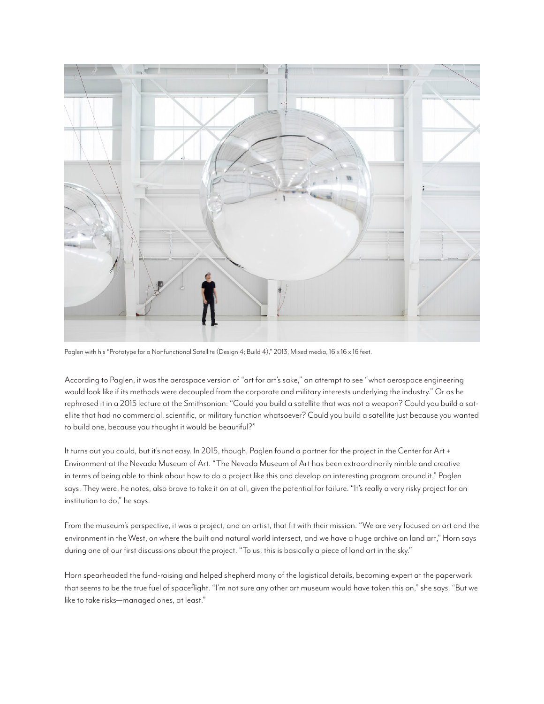

Paglen with his "Prototype for a Nonfunctional Satellite (Design 4; Build 4)," 2013, Mixed media, 16 x 16 x 16 feet.

According to Paglen, it was the aerospace version of "art for art's sake," an attempt to see "what aerospace engineering would look like if its methods were decoupled from the corporate and military interests underlying the industry." Or as he rephrased it in a 2015 lecture at the Smithsonian: "Could you build a satellite that was not a weapon? Could you build a satellite that had no commercial, scientific, or military function whatsoever? Could you build a satellite just because you wanted to build one, because you thought it would be beautiful?"

It turns out you could, but it's not easy. In 2015, though, Paglen found a partner for the project in the Center for Art + Environment at the Nevada Museum of Art. "The Nevada Museum of Art has been extraordinarily nimble and creative in terms of being able to think about how to do a project like this and develop an interesting program around it," Paglen says. They were, he notes, also brave to take it on at all, given the potential for failure. "It's really a very risky project for an institution to do," he says.

From the museum's perspective, it was a project, and an artist, that fit with their mission. "We are very focused on art and the environment in the West, on where the built and natural world intersect, and we have a huge archive on land art," Horn says during one of our first discussions about the project. "To us, this is basically a piece of land art in the sky."

Horn spearheaded the fund-raising and helped shepherd many of the logistical details, becoming expert at the paperwork that seems to be the true fuel of spaceflight. "I'm not sure any other art museum would have taken this on," she says. "But we like to take risks—managed ones, at least."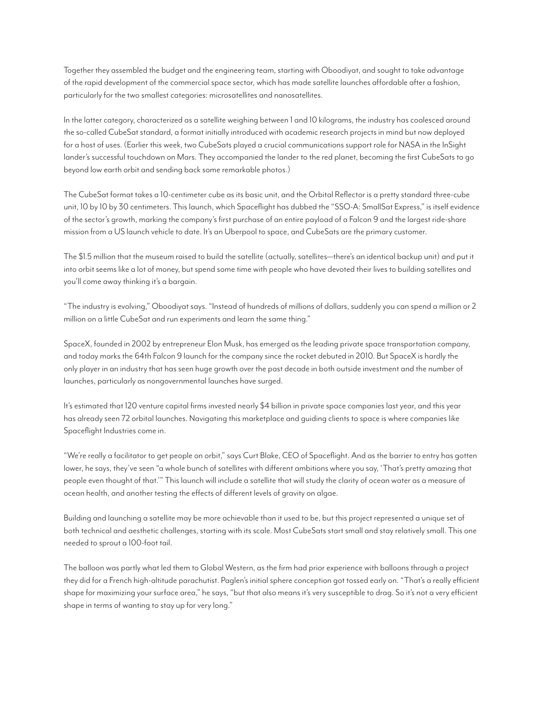Together they assembled the budget and the engineering team, starting with Oboodiyat, and sought to take advantage of the rapid development of the commercial space sector, which has made satellite launches affordable after a fashion, particularly for the two smallest categories: microsatellites and nanosatellites.

In the latter category, characterized as a satellite weighing between 1 and 10 kilograms, the industry has coalesced around the so-called CubeSat standard, a format initially introduced with academic research projects in mind but now deployed for a host of uses. (Earlier this week, two CubeSats played a crucial communications support role for NASA in the InSight lander's successful touchdown on Mars. They accompanied the lander to the red planet, becoming the first CubeSats to go beyond low earth orbit and sending back some remarkable photos.)

The CubeSat format takes a 10-centimeter cube as its basic unit, and the Orbital Reflector is a pretty standard three-cube unit, 10 by 10 by 30 centimeters. This launch, which Spaceflight has dubbed the "SSO-A: SmallSat Express," is itself evidence of the sector's growth, marking the company's first purchase of an entire payload of a Falcon 9 and the largest ride-share mission from a US launch vehicle to date. It's an Uberpool to space, and CubeSats are the primary customer.

The \$1.5 million that the museum raised to build the satellite (actually, satellites—there's an identical backup unit) and put it into orbit seems like a lot of money, but spend some time with people who have devoted their lives to building satellites and you'll come away thinking it's a bargain.

"The industry is evolving," Oboodiyat says. "Instead of hundreds of millions of dollars, suddenly you can spend a million or 2 million on a little CubeSat and run experiments and learn the same thing."

SpaceX, founded in 2002 by entrepreneur Elon Musk, has emerged as the leading private space transportation company, and today marks the 64th Falcon 9 launch for the company since the rocket debuted in 2010. But SpaceX is hardly the only player in an industry that has seen huge growth over the past decade in both outside investment and the number of launches, particularly as nongovernmental launches have surged.

It's estimated that 120 venture capital firms invested nearly \$4 billion in private space companies last year, and this year has already seen 72 orbital launches. Navigating this marketplace and guiding clients to space is where companies like Spaceflight Industries come in.

"We're really a facilitator to get people on orbit," says Curt Blake, CEO of Spaceflight. And as the barrier to entry has gotten lower, he says, they've seen "a whole bunch of satellites with different ambitions where you say, 'That's pretty amazing that people even thought of that.'" This launch will include a satellite that will study the clarity of ocean water as a measure of ocean health, and another testing the effects of different levels of gravity on algae.

Building and launching a satellite may be more achievable than it used to be, but this project represented a unique set of both technical and aesthetic challenges, starting with its scale. Most CubeSats start small and stay relatively small. This one needed to sprout a 100-foot tail.

The balloon was partly what led them to Global Western, as the firm had prior experience with balloons through a project they did for a French high-altitude parachutist. Paglen's initial sphere conception got tossed early on. "That's a really efficient shape for maximizing your surface area," he says, "but that also means it's very susceptible to drag. So it's not a very efficient shape in terms of wanting to stay up for very long."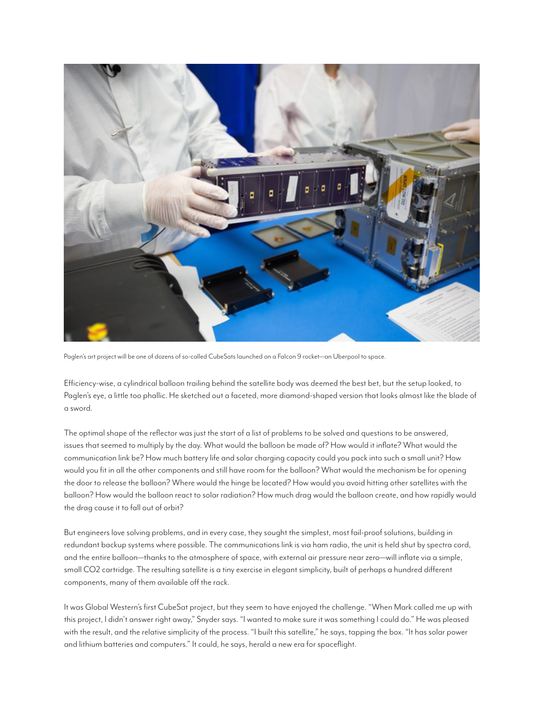

Paglen's art project will be one of dozens of so-called CubeSats launched on a Falcon 9 rocket—an Uberpool to space.

Efficiency-wise, a cylindrical balloon trailing behind the satellite body was deemed the best bet, but the setup looked, to Paglen's eye, a little too phallic. He sketched out a faceted, more diamond-shaped version that looks almost like the blade of a sword.

The optimal shape of the reflector was just the start of a list of problems to be solved and questions to be answered, issues that seemed to multiply by the day. What would the balloon be made of? How would it inflate? What would the communication link be? How much battery life and solar charging capacity could you pack into such a small unit? How would you fit in all the other components and still have room for the balloon? What would the mechanism be for opening the door to release the balloon? Where would the hinge be located? How would you avoid hitting other satellites with the balloon? How would the balloon react to solar radiation? How much drag would the balloon create, and how rapidly would the drag cause it to fall out of orbit?

But engineers love solving problems, and in every case, they sought the simplest, most fail-proof solutions, building in redundant backup systems where possible. The communications link is via ham radio, the unit is held shut by spectra cord, and the entire balloon—thanks to the atmosphere of space, with external air pressure near zero—will inflate via a simple, small CO2 cartridge. The resulting satellite is a tiny exercise in elegant simplicity, built of perhaps a hundred different components, many of them available off the rack.

It was Global Western's first CubeSat project, but they seem to have enjoyed the challenge. "When Mark called me up with this project, I didn't answer right away," Snyder says. "I wanted to make sure it was something I could do." He was pleased with the result, and the relative simplicity of the process. "I built this satellite," he says, tapping the box. "It has solar power and lithium batteries and computers." It could, he says, herald a new era for spaceflight.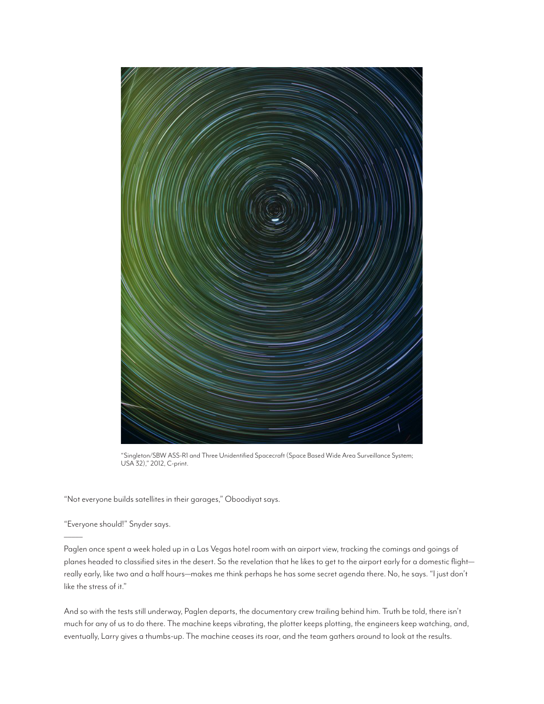

"Singleton/SBW ASS-R1 and Three Unidentified Spacecraft (Space Based Wide Area Surveillance System; USA 32)," 2012, C-print.

"Not everyone builds satellites in their garages," Oboodiyat says.

"Everyone should!" Snyder says.

–––––

Paglen once spent a week holed up in a Las Vegas hotel room with an airport view, tracking the comings and goings of planes headed to classified sites in the desert. So the revelation that he likes to get to the airport early for a domestic flight really early, like two and a half hours—makes me think perhaps he has some secret agenda there. No, he says. "I just don't like the stress of it."

And so with the tests still underway, Paglen departs, the documentary crew trailing behind him. Truth be told, there isn't much for any of us to do there. The machine keeps vibrating, the plotter keeps plotting, the engineers keep watching, and, eventually, Larry gives a thumbs-up. The machine ceases its roar, and the team gathers around to look at the results.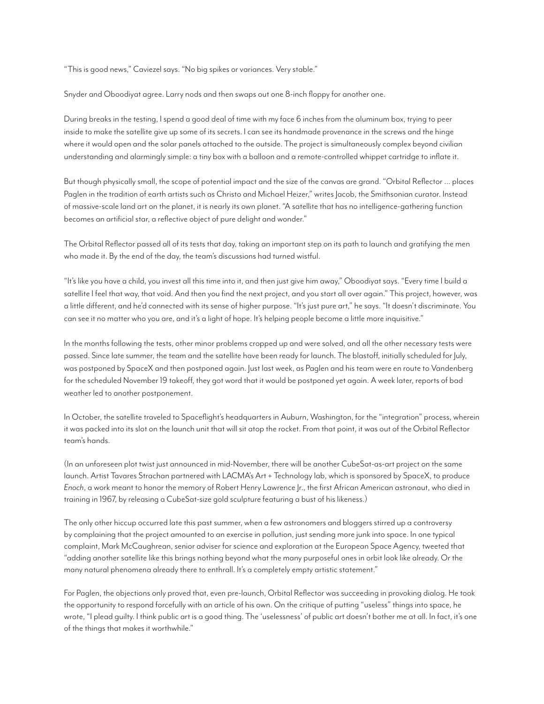"This is good news," Caviezel says. "No big spikes or variances. Very stable."

Snyder and Oboodiyat agree. Larry nods and then swaps out one 8-inch floppy for another one.

During breaks in the testing, I spend a good deal of time with my face 6 inches from the aluminum box, trying to peer inside to make the satellite give up some of its secrets. I can see its handmade provenance in the screws and the hinge where it would open and the solar panels attached to the outside. The project is simultaneously complex beyond civilian understanding and alarmingly simple: a tiny box with a balloon and a remote-controlled whippet cartridge to inflate it.

But though physically small, the scope of potential impact and the size of the canvas are grand. "Orbital Reflector … places Paglen in the tradition of earth artists such as Christo and Michael Heizer," writes Jacob, the Smithsonian curator. Instead of massive-scale land art on the planet, it is nearly its own planet. "A satellite that has no intelligence-gathering function becomes an artificial star, a reflective object of pure delight and wonder."

The Orbital Reflector passed all of its tests that day, taking an important step on its path to launch and gratifying the men who made it. By the end of the day, the team's discussions had turned wistful.

"It's like you have a child, you invest all this time into it, and then just give him away," Oboodiyat says. "Every time I build a satellite I feel that way, that void. And then you find the next project, and you start all over again." This project, however, was a little different, and he'd connected with its sense of higher purpose. "It's just pure art," he says. "It doesn't discriminate. You can see it no matter who you are, and it's a light of hope. It's helping people become a little more inquisitive."

In the months following the tests, other minor problems cropped up and were solved, and all the other necessary tests were passed. Since late summer, the team and the satellite have been ready for launch. The blastoff, initially scheduled for July, was postponed by SpaceX and then postponed again. Just last week, as Paglen and his team were en route to Vandenberg for the scheduled November 19 takeoff, they got word that it would be postponed yet again. A week later, reports of bad weather led to another postponement.

In October, the satellite traveled to Spaceflight's headquarters in Auburn, Washington, for the "integration" process, wherein it was packed into its slot on the launch unit that will sit atop the rocket. From that point, it was out of the Orbital Reflector team's hands.

(In an unforeseen plot twist just announced in mid-November, there will be another CubeSat-as-art project on the same launch. Artist Tavares Strachan partnered with LACMA's Art + Technology lab, which is sponsored by SpaceX, to produce *Enoch*, a work meant to honor the memory of Robert Henry Lawrence Jr., the first African American astronaut, who died in training in 1967, by releasing a CubeSat-size gold sculpture featuring a bust of his likeness.)

The only other hiccup occurred late this past summer, when a few astronomers and bloggers stirred up a controversy by complaining that the project amounted to an exercise in pollution, just sending more junk into space. In one typical complaint, Mark McCaughrean, senior adviser for science and exploration at the European Space Agency, tweeted that "adding another satellite like this brings nothing beyond what the many purposeful ones in orbit look like already. Or the many natural phenomena already there to enthrall. It's a completely empty artistic statement."

For Paglen, the objections only proved that, even pre-launch, Orbital Reflector was succeeding in provoking dialog. He took the opportunity to respond forcefully with an article of his own. On the critique of putting "useless" things into space, he wrote, "I plead guilty. I think public art is a good thing. The 'uselessness' of public art doesn't bother me at all. In fact, it's one of the things that makes it worthwhile."